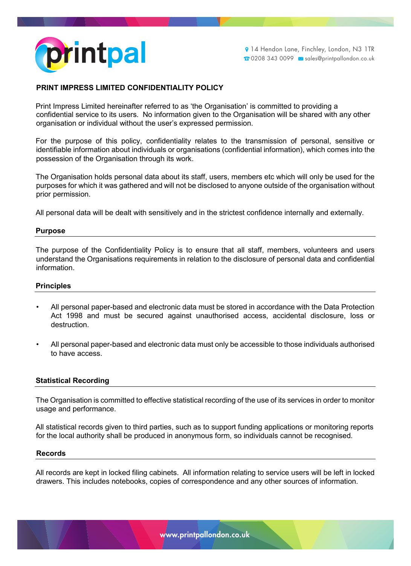

# **PRINT IMPRESS LIMITED CONFIDENTIALITY POLICY**

Print Impress Limited hereinafter referred to as 'the Organisation' is committed to providing a confidential service to its users. No information given to the Organisation will be shared with any other organisation or individual without the user's expressed permission.

For the purpose of this policy, confidentiality relates to the transmission of personal, sensitive or identifiable information about individuals or organisations (confidential information), which comes into the possession of the Organisation through its work.

The Organisation holds personal data about its staff, users, members etc which will only be used for the purposes for which it was gathered and will not be disclosed to anyone outside of the organisation without prior permission.

All personal data will be dealt with sensitively and in the strictest confidence internally and externally.

### **Purpose**

The purpose of the Confidentiality Policy is to ensure that all staff, members, volunteers and users understand the Organisations requirements in relation to the disclosure of personal data and confidential information.

## **Principles**

- All personal paper-based and electronic data must be stored in accordance with the Data Protection Act 1998 and must be secured against unauthorised access, accidental disclosure, loss or destruction.
- All personal paper-based and electronic data must only be accessible to those individuals authorised to have access.

### **Statistical Recording**

The Organisation is committed to effective statistical recording of the use of its services in order to monitor usage and performance.

All statistical records given to third parties, such as to support funding applications or monitoring reports for the local authority shall be produced in anonymous form, so individuals cannot be recognised.

#### **Records**

All records are kept in locked filing cabinets. All information relating to service users will be left in locked drawers. This includes notebooks, copies of correspondence and any other sources of information.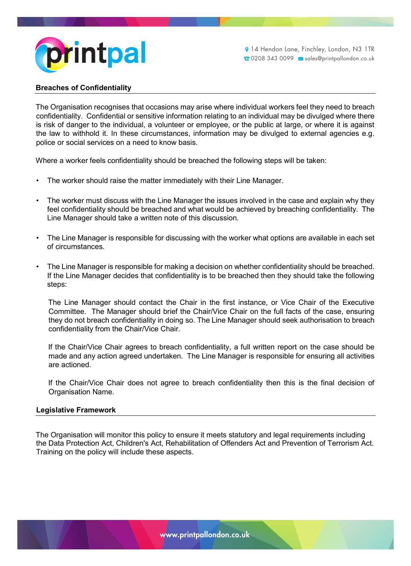

14 Hendon Lane, Finchley, London, N3 1TR 0208 343 0099 sales@printpallondon.co.uk

# **Breaches of Confidentiality**

The Organisation recognises that occasions may arise where individual workers feel they need to breach confidentiality. Confidential or sensitive information relating to an individual may be divulged where there is risk of danger to the individual, a volunteer or employee, or the public at large, or where it is against the law to withhold it. In these circumstances, information may be divulged to external agencies e.g. police or social services on a need to know basis.

Where a worker feels confidentiality should be breached the following steps will be taken:

- The worker should raise the matter immediately with their Line Manager.
- The worker must discuss with the Line Manager the issues involved in the case and explain why they feel confidentiality should be breached and what would be achieved by breaching confidentiality. The Line Manager should take a written note of this discussion.
- The Line Manager is responsible for discussing with the worker what options are available in each set of circumstances.
- The Line Manager is responsible for making a decision on whether confidentiality should be breached. If the Line Manager decides that confidentiality is to be breached then they should take the following steps:

The Line Manager should contact the Chair in the first instance, or Vice Chair of the Executive Committee. The Manager should brief the Chair/Vice Chair on the full facts of the case, ensuring they do not breach confidentiality in doing so. The Line Manager should seek authorisation to breach confidentiality from the Chair/Vice Chair.

If the Chair/Vice Chair agrees to breach confidentiality, a full written report on the case should be made and any action agreed undertaken. The Line Manager is responsible for ensuring all activities are actioned.

If the Chair/Vice Chair does not agree to breach confidentiality then this is the final decision of Organisation Name.

#### **Legislative Framework**

The Organisation will monitor this policy to ensure it meets statutory and legal requirements including the Data Protection Act, Children's Act, Rehabilitation of Offenders Act and Prevention of Terrorism Act. Training on the policy will include these aspects.